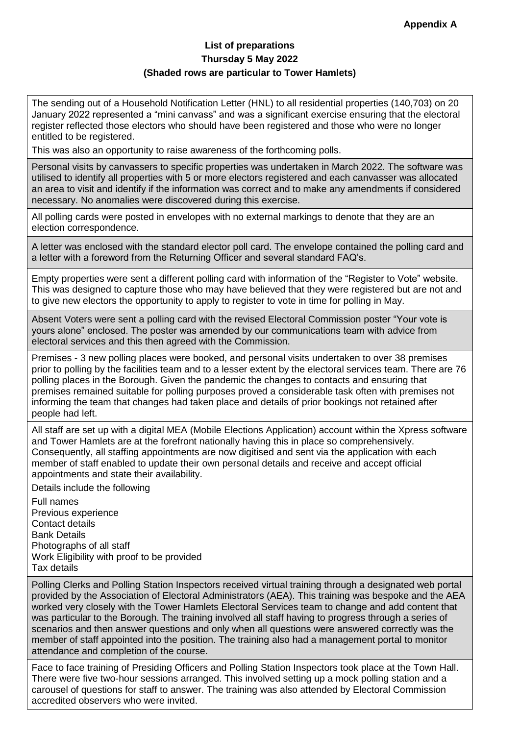## **List of preparations Thursday 5 May 2022 (Shaded rows are particular to Tower Hamlets)**

The sending out of a Household Notification Letter (HNL) to all residential properties (140,703) on 20 January 2022 represented a "mini canvass" and was a significant exercise ensuring that the electoral register reflected those electors who should have been registered and those who were no longer entitled to be registered.

This was also an opportunity to raise awareness of the forthcoming polls.

Personal visits by canvassers to specific properties was undertaken in March 2022. The software was utilised to identify all properties with 5 or more electors registered and each canvasser was allocated an area to visit and identify if the information was correct and to make any amendments if considered necessary. No anomalies were discovered during this exercise.

All polling cards were posted in envelopes with no external markings to denote that they are an election correspondence.

A letter was enclosed with the standard elector poll card. The envelope contained the polling card and a letter with a foreword from the Returning Officer and several standard FAQ's.

Empty properties were sent a different polling card with information of the "Register to Vote" website. This was designed to capture those who may have believed that they were registered but are not and to give new electors the opportunity to apply to register to vote in time for polling in May.

Absent Voters were sent a polling card with the revised Electoral Commission poster "Your vote is yours alone" enclosed. The poster was amended by our communications team with advice from electoral services and this then agreed with the Commission.

Premises - 3 new polling places were booked, and personal visits undertaken to over 38 premises prior to polling by the facilities team and to a lesser extent by the electoral services team. There are 76 polling places in the Borough. Given the pandemic the changes to contacts and ensuring that premises remained suitable for polling purposes proved a considerable task often with premises not informing the team that changes had taken place and details of prior bookings not retained after people had left.

All staff are set up with a digital MEA (Mobile Elections Application) account within the Xpress software and Tower Hamlets are at the forefront nationally having this in place so comprehensively. Consequently, all staffing appointments are now digitised and sent via the application with each member of staff enabled to update their own personal details and receive and accept official appointments and state their availability.

Details include the following

Full names Previous experience Contact details Bank Details Photographs of all staff Work Eligibility with proof to be provided Tax details

Polling Clerks and Polling Station Inspectors received virtual training through a designated web portal provided by the Association of Electoral Administrators (AEA). This training was bespoke and the AEA worked very closely with the Tower Hamlets Electoral Services team to change and add content that was particular to the Borough. The training involved all staff having to progress through a series of scenarios and then answer questions and only when all questions were answered correctly was the member of staff appointed into the position. The training also had a management portal to monitor attendance and completion of the course.

Face to face training of Presiding Officers and Polling Station Inspectors took place at the Town Hall. There were five two-hour sessions arranged. This involved setting up a mock polling station and a carousel of questions for staff to answer. The training was also attended by Electoral Commission accredited observers who were invited.